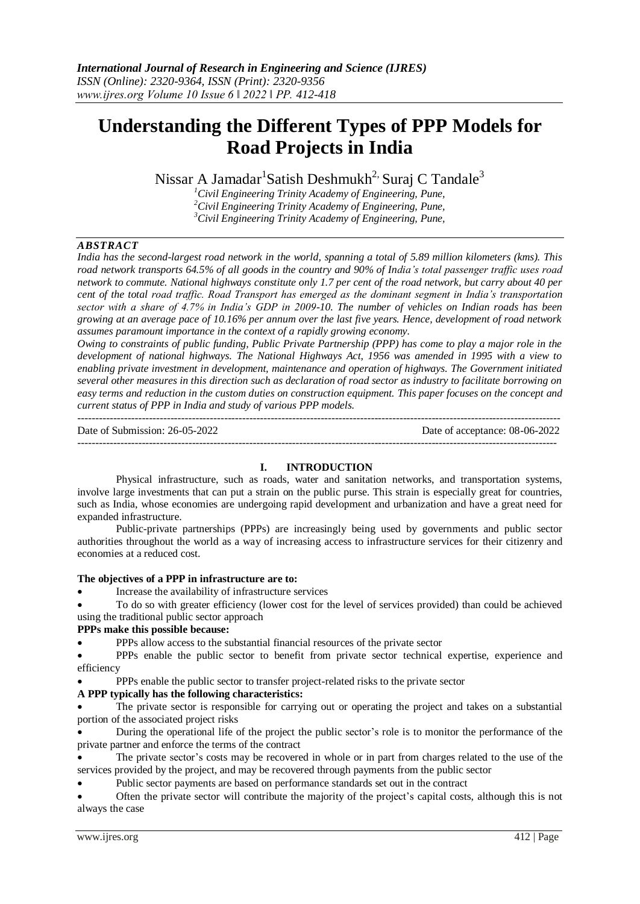# **Understanding the Different Types of PPP Models for Road Projects in India**

Nissar A Jamadar $^1$ Satish Deshmukh $^2$ <sup>,</sup> Suraj C Tandale $^3$ 

*<sup>1</sup>Civil Engineering Trinity Academy of Engineering, Pune, <sup>2</sup>Civil Engineering Trinity Academy of Engineering, Pune, <sup>3</sup>Civil Engineering Trinity Academy of Engineering, Pune,*

# *ABSTRACT*

*India has the second-largest road network in the world, spanning a total of 5.89 million kilometers (kms). This road network transports 64.5% of all goods in the country and 90% of India's total passenger traffic uses road network to commute. National highways constitute only 1.7 per cent of the road network, but carry about 40 per cent of the total road traffic. Road Transport has emerged as the dominant segment in India's transportation sector with a share of 4.7% in India's GDP in 2009-10. The number of vehicles on Indian roads has been growing at an average pace of 10.16% per annum over the last five years. Hence, development of road network assumes paramount importance in the context of a rapidly growing economy.* 

*Owing to constraints of public funding, Public Private Partnership (PPP) has come to play a major role in the development of national highways. The National Highways Act, 1956 was amended in 1995 with a view to enabling private investment in development, maintenance and operation of highways. The Government initiated several other measures in this direction such as declaration of road sector as industry to facilitate borrowing on easy terms and reduction in the custom duties on construction equipment. This paper focuses on the concept and current status of PPP in India and study of various PPP models.*  ---------------------------------------------------------------------------------------------------------------------------------------

Date of Submission: 26-05-2022 Date of acceptance: 08-06-2022 --------------------------------------------------------------------------------------------------------------------------------------

#### **I. INTRODUCTION**

Physical infrastructure, such as roads, water and sanitation networks, and transportation systems, involve large investments that can put a strain on the public purse. This strain is especially great for countries, such as India, whose economies are undergoing rapid development and urbanization and have a great need for expanded infrastructure.

Public-private partnerships (PPPs) are increasingly being used by governments and public sector authorities throughout the world as a way of increasing access to infrastructure services for their citizenry and economies at a reduced cost.

#### **The objectives of a PPP in infrastructure are to:**

Increase the availability of infrastructure services

 To do so with greater efficiency (lower cost for the level of services provided) than could be achieved using the traditional public sector approach

# **PPPs make this possible because:**

PPPs allow access to the substantial financial resources of the private sector

 PPPs enable the public sector to benefit from private sector technical expertise, experience and efficiency

PPPs enable the public sector to transfer project-related risks to the private sector

#### **A PPP typically has the following characteristics:**

 The private sector is responsible for carrying out or operating the project and takes on a substantial portion of the associated project risks

 During the operational life of the project the public sector's role is to monitor the performance of the private partner and enforce the terms of the contract

 The private sector's costs may be recovered in whole or in part from charges related to the use of the services provided by the project, and may be recovered through payments from the public sector

Public sector payments are based on performance standards set out in the contract

 Often the private sector will contribute the majority of the project's capital costs, although this is not always the case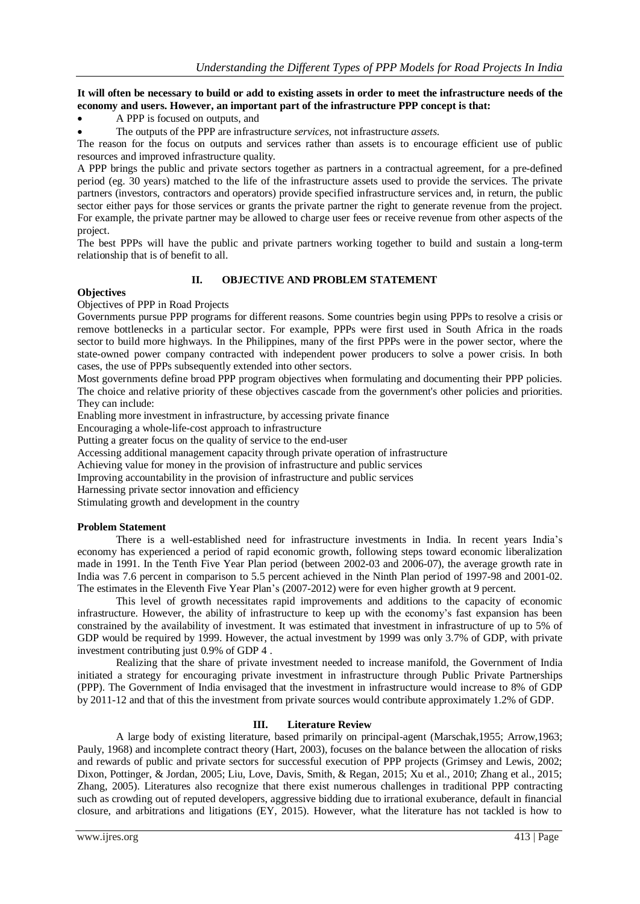# It will often be necessary to build or add to existing assets in order to meet the infrastructure needs of the **economy and users. However, an important part of the infrastructure PPP concept is that:**

A PPP is focused on outputs, and

The outputs of the PPP are infrastructure *services*, not infrastructure *assets*.

The reason for the focus on outputs and services rather than assets is to encourage efficient use of public resources and improved infrastructure quality.

A PPP brings the public and private sectors together as partners in a contractual agreement, for a pre-defined period (eg. 30 years) matched to the life of the infrastructure assets used to provide the services. The private partners (investors, contractors and operators) provide specified infrastructure services and, in return, the public sector either pays for those services or grants the private partner the right to generate revenue from the project. For example, the private partner may be allowed to charge user fees or receive revenue from other aspects of the project.

The best PPPs will have the public and private partners working together to build and sustain a long-term relationship that is of benefit to all.

# **II. OBJECTIVE AND PROBLEM STATEMENT**

#### **Objectives**

Objectives of PPP in Road Projects

Governments pursue PPP programs for different reasons. Some countries begin using PPPs to resolve a crisis or remove bottlenecks in a particular sector. For example, PPPs were first used in South Africa in the roads sector to build more highways. In the Philippines, many of the first PPPs were in the power sector, where the state-owned power company contracted with independent power producers to solve a power crisis. In both cases, the use of PPPs subsequently extended into other sectors.

Most governments define broad PPP program objectives when formulating and documenting their PPP policies. The choice and relative priority of these objectives cascade from the government's other policies and priorities. They can include:

Enabling more investment in infrastructure, by accessing private finance

Encouraging a whole-life-cost approach to infrastructure

Putting a greater focus on the quality of service to the end-user

Accessing additional management capacity through private operation of infrastructure

Achieving value for money in the provision of infrastructure and public services

Improving accountability in the provision of infrastructure and public services

Harnessing private sector innovation and efficiency

Stimulating growth and development in the country

#### **Problem Statement**

There is a well-established need for infrastructure investments in India. In recent years India's economy has experienced a period of rapid economic growth, following steps toward economic liberalization made in 1991. In the Tenth Five Year Plan period (between 2002-03 and 2006-07), the average growth rate in India was 7.6 percent in comparison to 5.5 percent achieved in the Ninth Plan period of 1997-98 and 2001-02. The estimates in the Eleventh Five Year Plan's (2007-2012) were for even higher growth at 9 percent.

This level of growth necessitates rapid improvements and additions to the capacity of economic infrastructure. However, the ability of infrastructure to keep up with the economy's fast expansion has been constrained by the availability of investment. It was estimated that investment in infrastructure of up to 5% of GDP would be required by 1999. However, the actual investment by 1999 was only 3.7% of GDP, with private investment contributing just 0.9% of GDP [4](https://www.pppinindia.gov.in/toolkit/urban-transport/module1-oopi-india-tnapfpii.php?links=oindia1a#sup4) .

Realizing that the share of private investment needed to increase manifold, the Government of India initiated a strategy for encouraging private investment in infrastructure through Public Private Partnerships (PPP). The Government of India envisaged that the investment in infrastructure would increase to 8% of GDP by 2011-12 and that of this the investment from private sources would contribute approximately 1.2% of GDP.

#### **III. Literature Review**

A large body of existing literature, based primarily on principal-agent (Marschak,1955; Arrow,1963; Pauly, 1968) and incomplete contract theory (Hart, 2003), focuses on the balance between the allocation of risks and rewards of public and private sectors for successful execution of PPP projects (Grimsey and Lewis, 2002; Dixon, Pottinger, & Jordan, 2005; Liu, Love, Davis, Smith, & Regan, 2015; Xu et al., 2010; Zhang et al., 2015; Zhang, 2005). Literatures also recognize that there exist numerous challenges in traditional PPP contracting such as crowding out of reputed developers, aggressive bidding due to irrational exuberance, default in financial closure, and arbitrations and litigations (EY, 2015). However, what the literature has not tackled is how to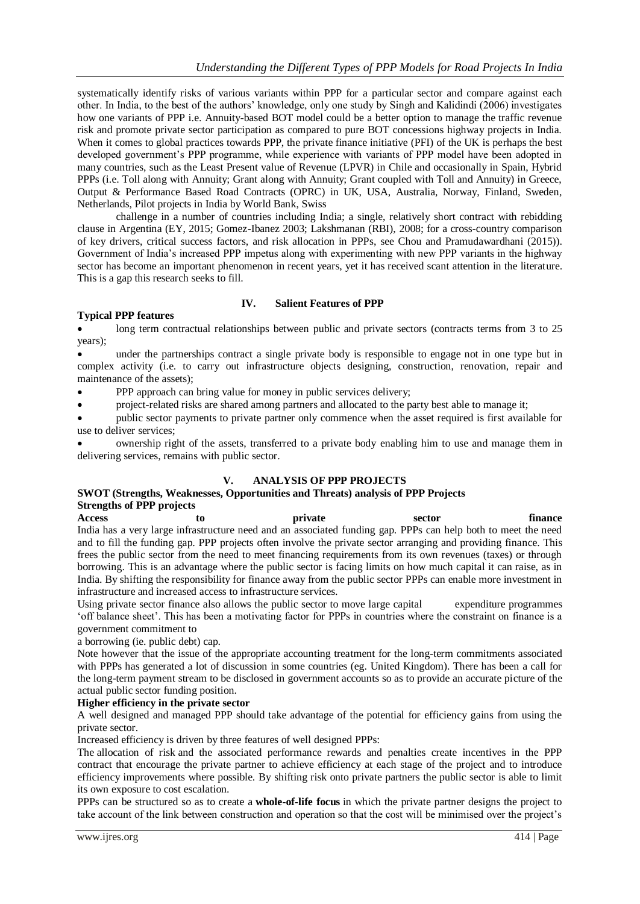systematically identify risks of various variants within PPP for a particular sector and compare against each other. In India, to the best of the authors' knowledge, only one study by Singh and Kalidindi (2006) investigates how one variants of PPP i.e. Annuity-based BOT model could be a better option to manage the traffic revenue risk and promote private sector participation as compared to pure BOT concessions highway projects in India. When it comes to global practices towards PPP, the private finance initiative (PFI) of the UK is perhaps the best developed government's PPP programme, while experience with variants of PPP model have been adopted in many countries, such as the Least Present value of Revenue (LPVR) in Chile and occasionally in Spain, Hybrid PPPs (i.e. Toll along with Annuity; Grant along with Annuity; Grant coupled with Toll and Annuity) in Greece, Output & Performance Based Road Contracts (OPRC) in UK, USA, Australia, Norway, Finland, Sweden, Netherlands, Pilot projects in India by World Bank, Swiss

challenge in a number of countries including India; a single, relatively short contract with rebidding clause in Argentina (EY, 2015; Gomez-Ibanez 2003; Lakshmanan (RBI), 2008; for a cross-country comparison of key drivers, critical success factors, and risk allocation in PPPs, see Chou and Pramudawardhani (2015)). Government of India's increased PPP impetus along with experimenting with new PPP variants in the highway sector has become an important phenomenon in recent years, yet it has received scant attention in the literature. This is a gap this research seeks to fill.

# **IV. Salient Features of PPP**

# **Typical PPP features**

long term contractual relationships between public and private sectors (contracts terms from 3 to 25 years);

 under the partnerships contract a single private body is responsible to engage not in one type but in complex activity (i.e. to carry out infrastructure objects designing, construction, renovation, repair and maintenance of the assets);

PPP approach can bring value for money in public services delivery;

project-related risks are shared among partners and allocated to the party best able to manage it;

 public sector payments to private partner only commence when the asset required is first available for use to deliver services;

 ownership right of the assets, transferred to a private body enabling him to use and manage them in delivering services, remains with public sector.

#### **V. ANALYSIS OF PPP PROJECTS**

# **SWOT (Strengths, Weaknesses, Opportunities and Threats) analysis of PPP Projects Strengths of PPP projects**

**Access to private sector finance** India has a very large infrastructure need and an associated funding gap. PPPs can help both to meet the need and to fill the funding gap. PPP projects often involve the private sector arranging and providing finance. This frees the public sector from the need to meet financing requirements from its own revenues (taxes) or through borrowing. This is an advantage where the public sector is facing limits on how much capital it can raise, as in India. By shifting the responsibility for finance away from the public sector PPPs can enable more investment in infrastructure and increased access to infrastructure services.

Using private sector finance also allows the public sector to move large capital expenditure programmes 'off balance sheet'. This has been a motivating factor for PPPs in countries where the constraint on finance is a government commitment to

a borrowing (ie. public debt) cap.

Note however that the issue of the appropriate accounting treatment for the long-term commitments associated with PPPs has generated a lot of discussion in some countries (eg. United Kingdom). There has been a call for the long-term payment stream to be disclosed in government accounts so as to provide an accurate picture of the actual public sector funding position.

## **Higher efficiency in the private sector**

A well designed and managed PPP should take advantage of the potential for efficiency gains from using the private sector.

Increased efficiency is driven by three features of well designed PPPs:

The [allocation of risk](https://www.pppinindia.gov.in/toolkit/urban-transport/module1-oopmv-raudpm.php?links=oopmv1c) and the associated performance rewards and penalties create incentives in the PPP contract that encourage the private partner to achieve efficiency at each stage of the project and to introduce efficiency improvements where possible. By shifting risk onto private partners the public sector is able to limit its own exposure to cost escalation.

PPPs can be structured so as to create a **whole-of-life focus** in which the private partner designs the project to take account of the link between construction and operation so that the cost will be minimised over the project's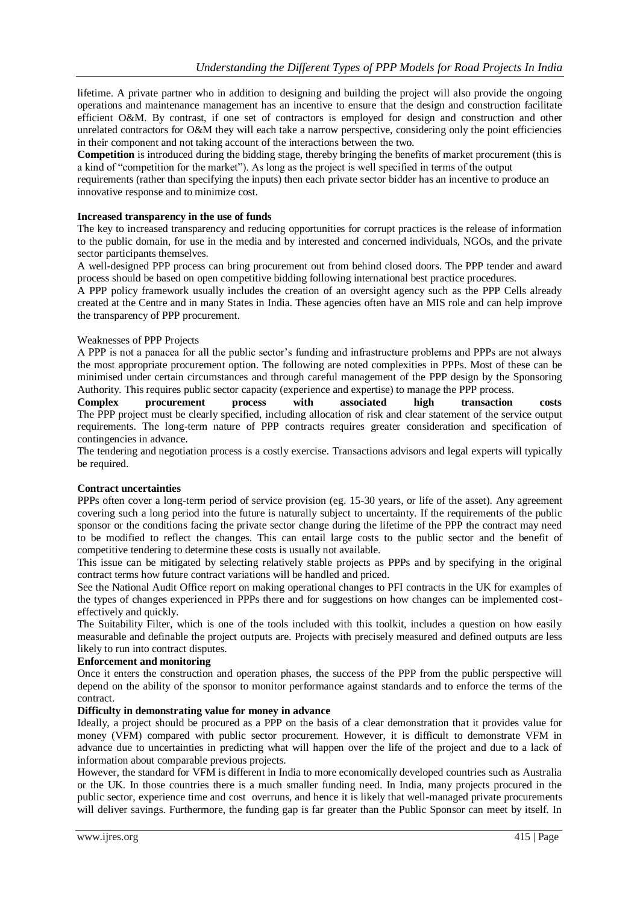lifetime. A private partner who in addition to designing and building the project will also provide the ongoing operations and maintenance management has an incentive to ensure that the design and construction facilitate efficient O&M. By contrast, if one set of contractors is employed for design and construction and other unrelated contractors for O&M they will each take a narrow perspective, considering only the point efficiencies in their component and not taking account of the interactions between the two.

**Competition** is introduced during the bidding stage, thereby bringing the benefits of market procurement (this is a kind of "competition for the market"). As long as the project is well specified in terms of the output

requirements (rather than specifying the inputs) then each private sector bidder has an incentive to produce an innovative response and to minimize cost.

#### **Increased transparency in the use of funds**

The key to increased transparency and reducing opportunities for corrupt practices is the release of information to the public domain, for use in the media and by interested and concerned individuals, NGOs, and the private sector participants themselves.

A well-designed PPP process can bring procurement out from behind closed doors. The PPP tender and award process should be based on open competitive bidding following international best practice procedures.

A PPP policy framework usually includes the creation of an oversight agency such as the PPP Cells already created at the Centre and in many States in India. These agencies often have an MIS role and can help improve the transparency of PPP procurement.

#### Weaknesses of PPP Projects

A PPP is not a panacea for all the public sector's funding and infrastructure problems and PPPs are not always the most appropriate procurement option. The following are noted complexities in PPPs. Most of these can be minimised under certain circumstances and through careful management of the PPP design by the Sponsoring

Authority. This requires [public sector capacity](https://www.pppinindia.gov.in/toolkit/urban-transport/module1-pse-pspcae.php?links=rfpee1c) (experience and expertise) to manage the PPP process.<br> **Complex procurement process** with **associated high transaction Complex procurement process with associated high transaction costs** The PPP project must be clearly specified, including allocation of risk and clear statement of the service output requirements. The long-term nature of PPP contracts requires greater consideration and specification of contingencies in advance.

The tendering and negotiation process is a costly exercise. Transactions advisors and legal experts will typically be required.

#### **Contract uncertainties**

PPPs often cover a long-term period of service provision (eg. 15-30 years, or life of the asset). Any agreement covering such a long period into the future is naturally subject to uncertainty. If the requirements of the public sponsor or the conditions facing the private sector change during the lifetime of the PPP the contract may need to be modified to reflect the changes. This can entail large costs to the public sector and the benefit of competitive tendering to determine these costs is usually not available.

This issue can be mitigated by selecting relatively stable projects as PPPs and by specifying in the original contract terms how future contract variations will be handled and priced.

See the National Audit Office report on [making operational changes to PFI contracts in the UK](http://www.nao.org.uk/publications/0708/making_changes_operational_pfi.aspx) for examples of the types of changes experienced in PPPs there and for suggestions on how changes can be implemented costeffectively and quickly.

The Suitability Filter, which is one of the tools included with this toolkit, includes a question on how easily measurable and definable the project outputs are. Projects with precisely measured and defined outputs are less likely to run into contract disputes.

#### **Enforcement and monitoring**

Once it enters the construction and operation phases, the success of the PPP from the public perspective will depend on the ability of the sponsor to monitor performance against standards and to enforce the terms of the contract.

#### **Difficulty in demonstrating value for money in advance**

Ideally, a project should be procured as a PPP on the basis of a clear demonstration that it provides value for money (VFM) compared with public sector procurement. However, it is difficult to demonstrate VFM in advance due to uncertainties in predicting what will happen over the life of the project and due to a lack of information about comparable previous projects.

However, the standard for VFM is different in India to more economically developed countries such as Australia or the UK. In those countries there is a much smaller funding need. In India, many projects procured in the public sector, experience time and cost overruns, and hence it is likely that well-managed private procurements will deliver savings. Furthermore, the funding gap is far greater than the Public Sponsor can meet by itself. In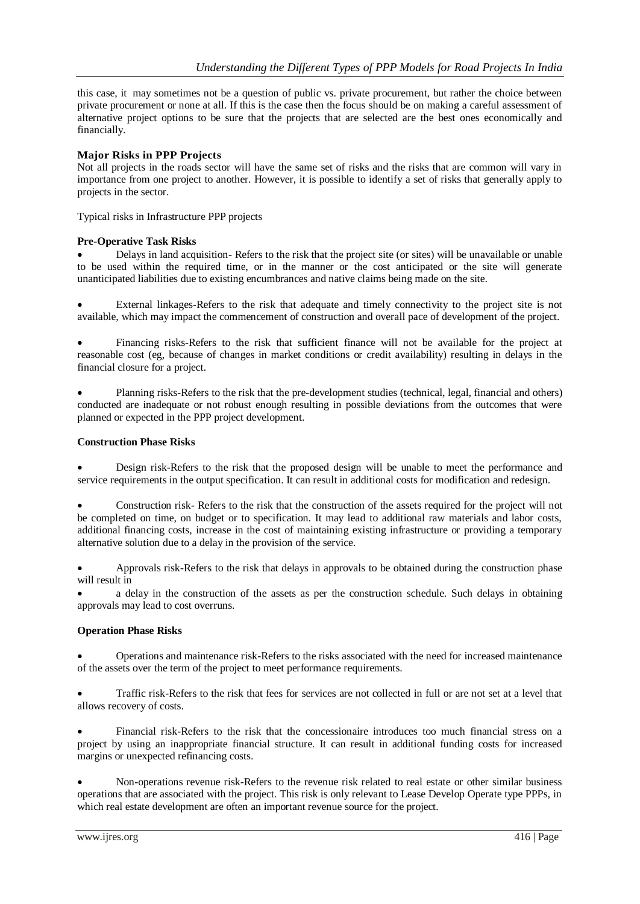this case, it may sometimes not be a question of public vs. private procurement, but rather the choice between private procurement or none at all. If this is the case then the focus should be on making a careful assessment of alternative project options to be sure that the projects that are selected are the best ones economically and financially.

# **Major Risks in PPP Projects**

Not all projects in the roads sector will have the same set of risks and the risks that are common will vary in importance from one project to another. However, it is possible to identify a set of risks that generally apply to projects in the sector.

Typical risks in Infrastructure PPP projects

# **Pre-Operative Task Risks**

 Delays in land acquisition- Refers to the risk that the project site (or sites) will be unavailable or unable to be used within the required time, or in the manner or the cost anticipated or the site will generate unanticipated liabilities due to existing encumbrances and native claims being made on the site.

 External linkages-Refers to the risk that adequate and timely connectivity to the project site is not available, which may impact the commencement of construction and overall pace of development of the project.

 Financing risks-Refers to the risk that sufficient finance will not be available for the project at reasonable cost (eg, because of changes in market conditions or credit availability) resulting in delays in the financial closure for a project.

 Planning risks-Refers to the risk that the pre-development studies (technical, legal, financial and others) conducted are inadequate or not robust enough resulting in possible deviations from the outcomes that were planned or expected in the PPP project development.

#### **Construction Phase Risks**

 Design risk-Refers to the risk that the proposed design will be unable to meet the performance and service requirements in the output specification. It can result in additional costs for modification and redesign.

 Construction risk- Refers to the risk that the construction of the assets required for the project will not be completed on time, on budget or to specification. It may lead to additional raw materials and labor costs, additional financing costs, increase in the cost of maintaining existing infrastructure or providing a temporary alternative solution due to a delay in the provision of the service.

 Approvals risk-Refers to the risk that delays in approvals to be obtained during the construction phase will result in

 a delay in the construction of the assets as per the construction schedule. Such delays in obtaining approvals may lead to cost overruns.

#### **Operation Phase Risks**

 Operations and maintenance risk-Refers to the risks associated with the need for increased maintenance of the assets over the term of the project to meet performance requirements.

 Traffic risk-Refers to the risk that fees for services are not collected in full or are not set at a level that allows recovery of costs.

 Financial risk-Refers to the risk that the concessionaire introduces too much financial stress on a project by using an inappropriate financial structure. It can result in additional funding costs for increased margins or unexpected refinancing costs.

 Non-operations revenue risk-Refers to the revenue risk related to real estate or other similar business operations that are associated with the project. This risk is only relevant to Lease Develop Operate type PPPs, in which real estate development are often an important revenue source for the project.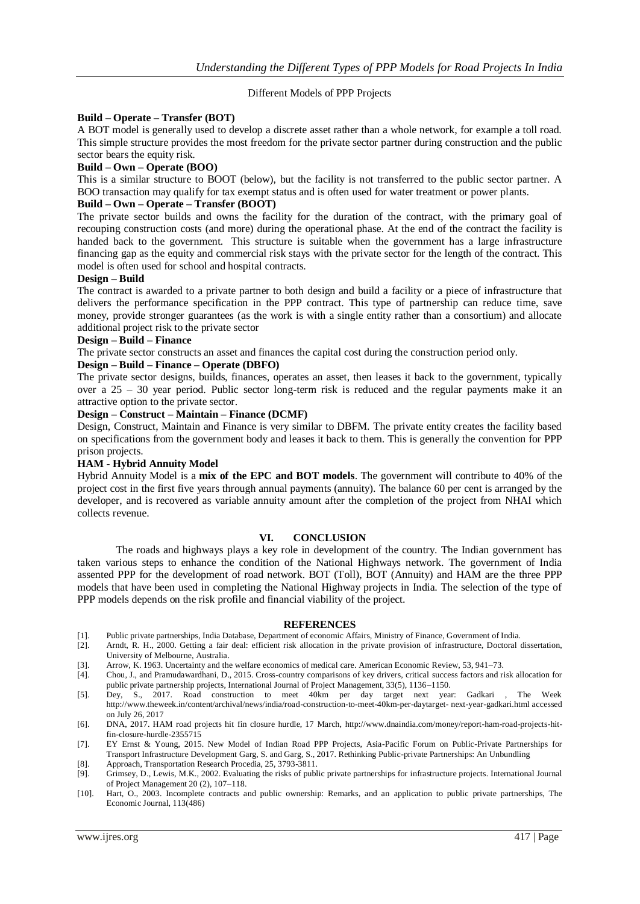#### Different Models of PPP Projects

#### **Build – Operate – Transfer (BOT)**

A BOT model is generally used to develop a discrete asset rather than a whole network, for example a toll road. This simple structure provides the most freedom for the private sector partner during construction and the public sector bears the equity risk.

#### **Build – Own – Operate (BOO)**

This is a similar structure to BOOT (below), but the facility is not transferred to the public sector partner. A BOO transaction may qualify for tax exempt status and is often used for water treatment or power plants.

## **Build – Own – Operate – Transfer (BOOT)**

The private sector builds and owns the facility for the duration of the contract, with the primary goal of recouping construction costs (and more) during the operational phase. At the end of the contract the facility is handed back to the government. This structure is suitable when the government has a large infrastructure financing gap as the equity and commercial risk stays with the private sector for the length of the contract. This model is often used for school and hospital contracts.

#### **Design – Build**

The contract is awarded to a private partner to both design and build a facility or a piece of infrastructure that delivers the performance specification in the PPP contract. This type of partnership can reduce time, save money, provide stronger guarantees (as the work is with a single entity rather than a consortium) and allocate additional project risk to the private sector

#### **Design – Build – Finance**

The private sector constructs an asset and finances the capital cost during the construction period only.

#### **Design – Build – Finance – Operate (DBFO)**

The private sector designs, builds, finances, operates an asset, then leases it back to the government, typically over a 25 – 30 year period. Public sector long-term risk is reduced and the regular payments make it an attractive option to the private sector.

## **Design – Construct – Maintain – Finance (DCMF)**

Design, Construct, Maintain and Finance is very similar to DBFM. The private entity creates the facility based on specifications from the government body and leases it back to them. This is generally the convention for PPP prison projects.

## **HAM - Hybrid Annuity Model**

Hybrid Annuity Model is a **mix of the EPC and BOT models**. The government will contribute to 40% of the project cost in the first five years through annual payments (annuity). The balance 60 per cent is arranged by the developer, and is recovered as variable annuity amount after the completion of the project from NHAI which collects revenue.

#### **VI. CONCLUSION**

The roads and highways plays a key role in development of the country. The Indian government has taken various steps to enhance the condition of the National Highways network. The government of India assented PPP for the development of road network. BOT (Toll), BOT (Annuity) and HAM are the three PPP models that have been used in completing the National Highway projects in India. The selection of the type of PPP models depends on the risk profile and financial viability of the project.

#### **REFERENCES**

- [1]. Public private partnerships, India Database, Department of economic Affairs, Ministry of Finance, Government of India.
- [2]. Arndt, R. H., 2000. Getting a fair deal: efficient risk allocation in the private provision of infrastructure, Doctoral dissertation, University of Melbourne, Australia.
- [3]. Arrow, K. 1963. Uncertainty and the welfare economics of medical care. American Economic Review, 53, 941–73. [4]. Chou, J., and Pramudawardhani, D., 2015. Cross-country comparisons of key drivers, critical success fac
- [4]. Chou, J., and Pramudawardhani, D., 2015. Cross-country comparisons of key drivers, critical success factors and risk allocation for public private partnership projects, International Journal of Project Management, 33(5), 1136–1150.
- [5]. Dey, S., 2017. Road construction to meet 40km per day target next year: Gadkari , The Week <http://www.theweek.in/content/archival/news/india/road-construction-to-meet-40km-per-daytarget-> next-year-gadkari.html accessed on July 26, 2017
- [6]. DNA, 2017. HAM road projects hit fin closure hurdle, 17 March, [http://www.dnaindia.com/money/report-ham-road-projects-hit](http://www.dnaindia.com/money/report-ham-road-projects-hit-fin-closure-hurdle-2355715)[fin-closure-hurdle-2355715](http://www.dnaindia.com/money/report-ham-road-projects-hit-fin-closure-hurdle-2355715)
- [7]. EY Ernst & Young, 2015. New Model of Indian Road PPP Projects, Asia-Pacific Forum on Public-Private Partnerships for Transport Infrastructure Development Garg, S. and Garg, S., 2017. Rethinking Public-private Partnerships: An Unbundling
- [8]. Approach, Transportation Research Procedia, 25, 3793-3811.
- [9]. Grimsey, D., Lewis, M.K., 2002. Evaluating the risks of public private partnerships for infrastructure projects. International Journal of Project Management 20 (2), 107–118.
- [10]. Hart, O., 2003. Incomplete contracts and public ownership: Remarks, and an application to public private partnerships, The Economic Journal, 113(486)